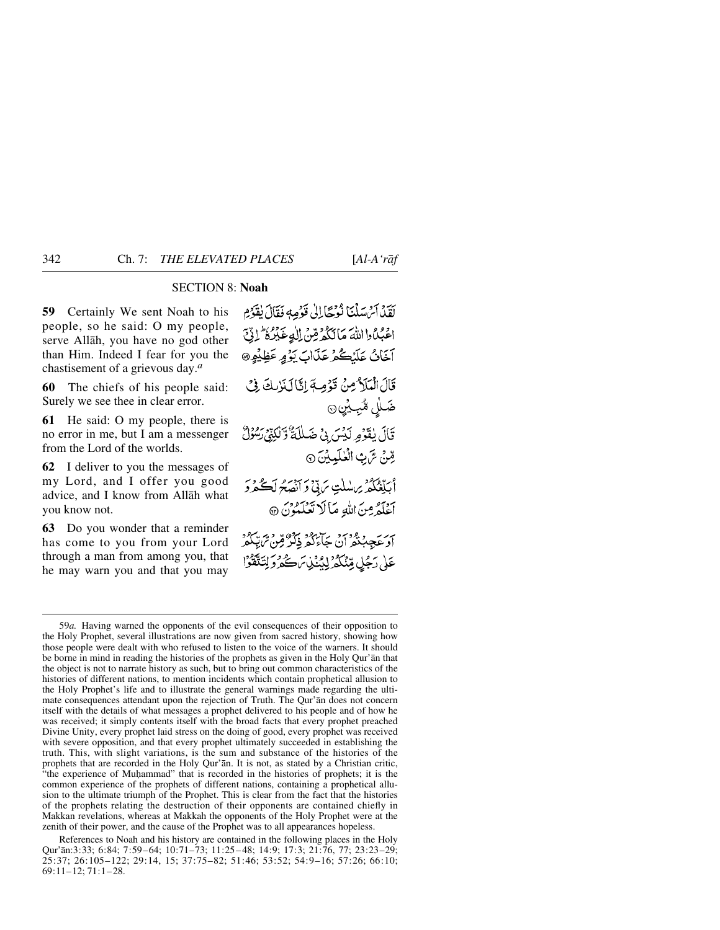# SECTION 8: **Noah**

**59** Certainly We sent Noah to his people, so he said: O my people, serve Allåh, you have no god other than Him. Indeed I fear for you the chastisement of a grievous day.*<sup>a</sup>*

**60** The chiefs of his people said: Surely we see thee in clear error.

**61** He said: O my people, there is no error in me, but I am a messenger from the Lord of the worlds.

**62** I deliver to you the messages of my Lord, and I offer you good advice, and I know from Allåh what you know not.

**63** Do you wonder that a reminder has come to you from your Lord through a man from among you, that he may warn you and that you may

لَقَدْ أَمْ سَلْنَا نُوْحًا إِلَىٰ قَوْمِهِ فَقَالَ يُقَوِّمِ اووه واالله مَالِكُمْ قِنْ الْدِعَبْرُهُ ۚ إِذِّي آخَانُ عَلَيْكُمْ عَذَابَ يَوْمٍ عَظِيْمٍ @ قَالَ الْمَلَامِ مِنْ قَوْمِيَةَ إِنَّا لَذَٰ بِكَ فِيْ ضَلْل مُّبِيِّنِ۞ قَالَ يٰقَوْمِ لَيْسَ بِيْ ضَلَلَةٌ وَلَٰكِنِّي لِسُوْلٌ قِنْ سَّ بِّ الْعٰلَيِيْنَ ۞ اْبِلّْغُکُمْ بِرَسْلَتِ سَ بِّي ْ وَ اَحْصِحُ لَڪُمْرُ وَ اَعْلَمُرمِنَ اللَّهِ مَأَلَا تَعْلَمُوْنَ ۞ ہرے وہ دینے ان حاء کہ ذکر وہی شاہدہ<br>او عجب تھ ان حاء کھ ذکر قبن شاہدہ عَلَىٰ رَجُلٍ مِّنْكُمْ لِدُّنْيِيْ مَنْ حَمْرٌ وَلِتَتَّقَوْا

<sup>59</sup>*a.* Having warned the opponents of the evil consequences of their opposition to the Holy Prophet, several illustrations are now given from sacred history, showing how those people were dealt with who refused to listen to the voice of the warners. It should be borne in mind in reading the histories of the prophets as given in the Holy Qur'ån that the object is not to narrate history as such, but to bring out common characteristics of the histories of different nations, to mention incidents which contain prophetical allusion to the Holy Prophet's life and to illustrate the general warnings made regarding the ultimate consequences attendant upon the rejection of Truth. The Qur'ån does not concern itself with the details of what messages a prophet delivered to his people and of how he was received; it simply contents itself with the broad facts that every prophet preached Divine Unity, every prophet laid stress on the doing of good, every prophet was received with severe opposition, and that every prophet ultimately succeeded in establishing the truth. This, with slight variations, is the sum and substance of the histories of the prophets that are recorded in the Holy Qur'ån. It is not, as stated by a Christian critic, "the experience of Muhammad" that is recorded in the histories of prophets; it is the common experience of the prophets of different nations, containing a prophetical allusion to the ultimate triumph of the Prophet. This is clear from the fact that the histories of the prophets relating the destruction of their opponents are contained chiefly in Makkan revelations, whereas at Makkah the opponents of the Holy Prophet were at the zenith of their power, and the cause of the Prophet was to all appearances hopeless.

References to Noah and his history are contained in the following places in the Holy Qur'ån:3:33; 6:84; 7:59–64; 10:71–73; 11:25– 48; 14:9; 17:3; 21:76, 77; 23:23–29; 25:37; 26:105–122; 29:14, 15; 37:75–82; 51:46; 53:52; 54:9–16; 57:26; 66:10; 69:11–12; 71:1–28.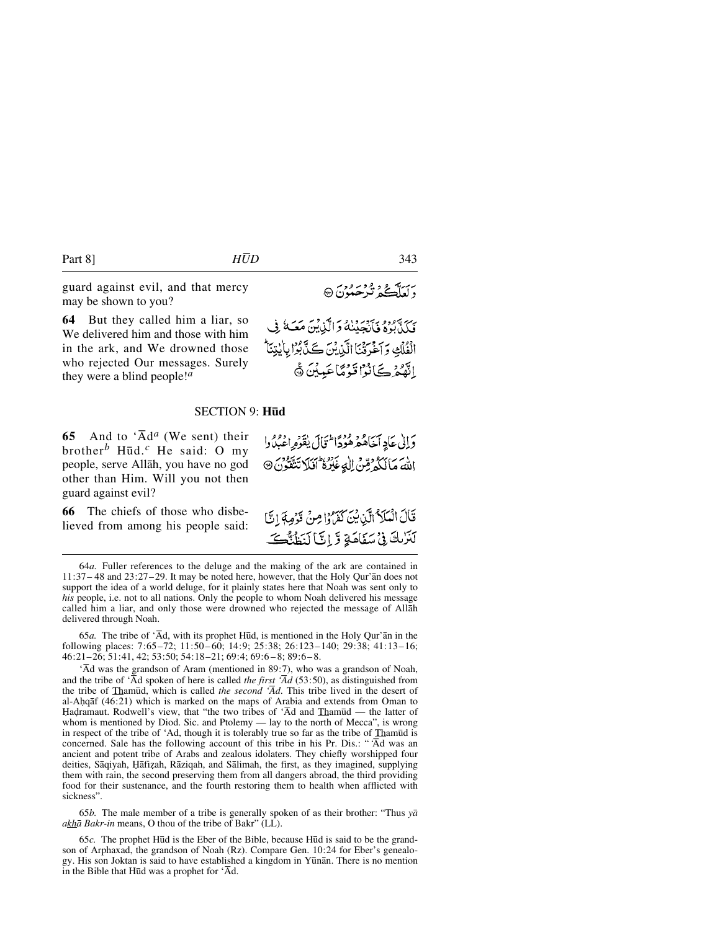guard against evil, and that mercy may be shown to you?

**64** But they called him a liar, so We delivered him and those with him in the ark, and We drowned those who rejected Our messages. Surely they were a blind people!*<sup>a</sup>*

#### SECTION 9: **H∂d**

**65** And to ' $\overline{A}d^a$  (We sent) their brother*<sup>b</sup>* H∂d.*<sup>c</sup>* He said: O my people, serve Allåh, you have no god other than Him. Will you not then guard against evil?

**66** The chiefs of those who disbelieved from among his people said: اللهَ مَالَكُهُ مِّنْ الْهِ عَيْرُهُ أَفَلَا تَتَقَوْنَ @ قَالَ الْمَلَا الَّيْ يُنَ كَفَرُوا مِنْ قَرُمِهَ إِنَّا

لَنَزْبِكَ فِي مَنَفَاهَةِ وَّ إِنَّ لَنَظُنُّكَ

دَالِي عَادِ أَخَاهُ مِهْ وُرْدًا تَجَالَ يٰقَدِّهِ اعْبُدُدا

64*a.* Fuller references to the deluge and the making of the ark are contained in 11:37– 48 and 23:27–29. It may be noted here, however, that the Holy Qur'ån does not support the idea of a world deluge, for it plainly states here that Noah was sent only to *his* people, i.e. not to all nations. Only the people to whom Noah delivered his message called him a liar, and only those were drowned who rejected the message of Allåh delivered through Noah.

65*a.* The tribe of 'Åd, with its prophet H∂d, is mentioned in the Holy Qur'ån in the following places: 7:65–72; 11:50– 60; 14:9; 25:38; 26:123–140; 29:38; 41:13–16; 46:21–26; 51:41, 42; 53:50; 54:18–21; 69:4; 69:6 – 8; 89:6– 8.

'Åd was the grandson of Aram (mentioned in 89:7), who was a grandson of Noah, and the tribe of ' $\overline{A}$ d spoken of here is called *the first '* $\overline{A}$ *d* (53:50), as distinguished from the tribe of Tham∂d, which is called *the second 'Åd*. This tribe lived in the desert of al-A√qåf (46:21) which is marked on the maps of Arabia and extends from Oman to Hadramaut. Rodwell's view, that "the two tribes of 'Âd and Thamūd — the latter of whom is mentioned by Diod. Sic. and Ptolemy — lay to the north of Mecca", is wrong in respect of the tribe of 'Ad, though it is tolerably true so far as the tribe of Tham∂d is concerned. Sale has the following account of this tribe in his Pr. Dis.: " 'Åd was an ancient and potent tribe of Arabs and zealous idolaters. They chiefly worshipped four deities, Sāqiyah, Hāfizah, Rāziqah, and Sālimah, the first, as they imagined, supplying them with rain, the second preserving them from all dangers abroad, the third providing food for their sustenance, and the fourth restoring them to health when afflicted with sickness".

65*b.* The male member of a tribe is generally spoken of as their brother: "Thus *yå akhå Bakr-in* means, O thou of the tribe of Bakr" (LL).

65*c.* The prophet H∂d is the Eber of the Bible, because H∂d is said to be the grandson of Arphaxad, the grandson of Noah (Rz). Compare Gen. 10:24 for Eber's genealogy. His son Joktan is said to have established a kingdom in Yūnān. There is no mention in the Bible that H∂d was a prophet for 'Åd.

برسد دي و بر و وي<br>د لعلڪهُ تيرڪمونَ ۞

نَدَ يَهُودُهُ فَأَنْجَيْنَهُ وَالَّذِينَ مَعَهَ فِي الْفُلْكِ وَآخَرَتْنَا الَّذِيْنَ كَلَّ بُوْا بِأَيْتِنَا ۖ الَّهُمُرْكَبَانُوْا قَوْمًا عَبِينَ ۞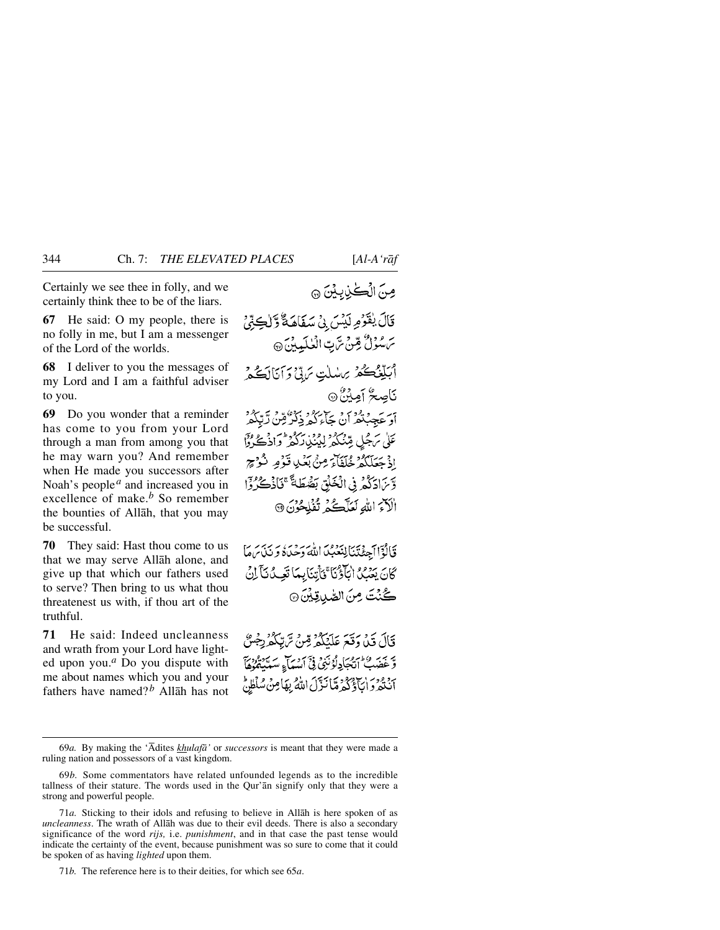Certainly we see thee in folly, and we certainly think thee to be of the liars.

**67** He said: O my people, there is no folly in me, but I am a messenger of the Lord of the worlds.

**68** I deliver to you the messages of my Lord and I am a faithful adviser to you.

**69** Do you wonder that a reminder has come to you from your Lord through a man from among you that he may warn you? And remember when He made you successors after Noah's people*<sup>a</sup>* and increased you in excellence of make.*<sup>b</sup>* So remember the bounties of Allåh, that you may be successful.

**70** They said: Hast thou come to us that we may serve Allåh alone, and give up that which our fathers used to serve? Then bring to us what thou threatenest us with, if thou art of the truthful.

**71** He said: Indeed uncleanness and wrath from your Lord have lighted upon you.*<sup>a</sup>* Do you dispute with me about names which you and your fathers have named? *<sup>b</sup>* Allåh has not مِنَ الْكُيْنِيِينَ ۞

قَالَ يٰقَوْمِ لَيْسَ بِيْ سَفَاهَةٌ وَّلْكِثِيْ سَ سُؤلُّ مِّنْ سَّ بِّ الْعٰلَمِينَ ۞ أَبَلِّغْكُمْ بِرَسْلَتِ يَرَبِّي وَآنَانَكُمْ نَاصِعٌ أَمِيْنٌ۞ ہے ۔ وود ہو نے کرد برد میں آتکھ<br>او عصبغد ان حاء کہ دکر میں آتکھ س سر محيل مين دي دي دي دي.<br>علي سرجل مين كم ليكن ركبر وادڪ وا إِذْ جَعَلَكُمْ خُلَفَاءَ مِنْ بَعْدِ قَوْمٍ نُكُوْجٍ وَّيْرَادَكُمْ فِي الْخَلْقِ بَقَّهْ طَاءً ۚ فَإِذْكُرُوْا الْكِرَ اللَّهِ لَعَلَّكُمْ تُفْلِحُونَ ۞

قَالُوْٓاآجِئۡتَنَالِنَعۡبُدَااللَّهَ دَحۡدَهُ وَ نَذَاسَهَا كَانَ يَعْمُدُ الْكَلْوْيَا ۚ فَأَتِنَابِيهَا تَعِيدُ نَآ لِنُ كُنْتَ مِنَ الصَّدِيقِيْنَ ۞

قَالَ قَيْلَ وَقَعَ عَلَيْكُمْ قِنْ تَرَبِّكُمْ رِجْسٌ يَّ سِرِ وَاسْتَعْبَادِ لَوْنَنِيٌّ فِيَّ مِنْ سَبَاءٍ سَبَادِهُ وَيَّ أَنْتُعْرَدَانَآؤُكُمْ مَّانَنَّوْلَ اللَّهُ بِهَامِنُ سُلْطِنٌ

<sup>69</sup>*a.* By making the 'Ådites *khulafå'* or *successors* is meant that they were made a ruling nation and possessors of a vast kingdom.

<sup>69</sup>*b.* Some commentators have related unfounded legends as to the incredible tallness of their stature. The words used in the Qur'ån signify only that they were a strong and powerful people.

<sup>71</sup>*a.* Sticking to their idols and refusing to believe in Allåh is here spoken of as *uncleanness*. The wrath of Allåh was due to their evil deeds. There is also a secondary significance of the word *rijs,* i.e. *punishment*, and in that case the past tense would indicate the certainty of the event, because punishment was so sure to come that it could be spoken of as having *lighted* upon them.

<sup>71</sup>*b.* The reference here is to their deities, for which see 65*a*.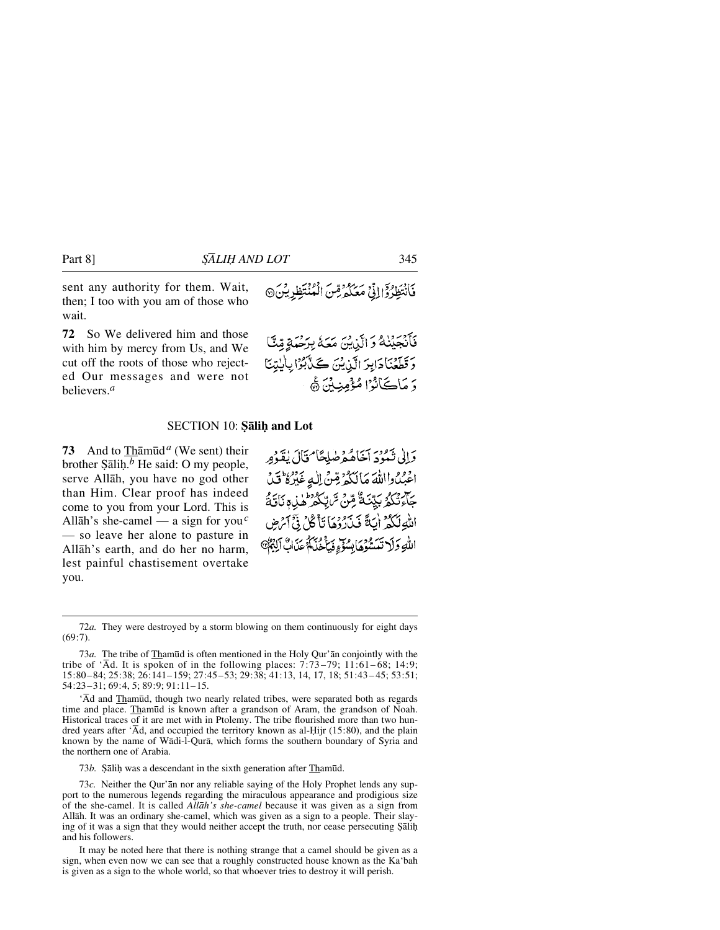sent any authority for them. Wait, then; I too with you am of those who wait.

**72** So We delivered him and those with him by mercy from Us, and We cut off the roots of those who rejected Our messages and were not believers.*<sup>a</sup>*

فَأَنْتَظِرُوْۤإِإِذۡيۡ مَعۡكُمۡ ثُمِّينَ الۡمُنۡتَظِرِيۡنَ۞

فَأَنْجَيْنُكُ وَالَّذِينَ مَعَكُمْ بِرَحْمَةٍ مِّنَّ وَقَطَّعْنَا دَابِرَ الَّذِيْنَ كَذَّبُوْا بِأَيْتِنَا دَ مَاڪَانُوْا مُؤْمِنِينَ ۾َ

#### **SECTION 10: Salih and Lot**

**73** And to Thåm∂d*<sup>a</sup>* (We sent) their brother  $S\bar{a}$ lih.<sup>*b*</sup> He said: O my people, serve Allåh, you have no god other than Him. Clear proof has indeed come to you from your Lord. This is Allåh's she-camel — a sign for you*<sup>c</sup>* — so leave her alone to pasture in Allåh's earth, and do her no harm, lest painful chastisement overtake you.

وَإِلَىٰ نَبُوْدَ آخَاهُهُمْ صَلِحًا مُخَالَ يٰقَدُورِ اعْبُدُ وااللّهَ مَالَكُمْ قِنْ اللّهِ عَبْرُهُ قَدْ ڮ<sup>ٳڔ</sup>ؿڴۯڹێۣڹؘڐٞ۠ڞؚؽٙ؆ڸڮڰۯ<sup>ۄ</sup>ؘؙۿڶۣ؋ڹؘٲؿؘڎٞ اللَّهِ لَكُمْ أَيَةً فَيَذَرُوْهَا تَأْكُلُ فِيَّ أَمْرَضٍ اللَّهِ وَلَا تَعَسُّوْهَا بِسُوِّءٍ فَبِأَخُلَامٌ عَذَابٌ أَلِيْهِمْ

72*a.* They were destroyed by a storm blowing on them continuously for eight days  $(69:7)$ .

73*a.* The tribe of Tham∂d is often mentioned in the Holy Qur'ån conjointly with the tribe of ' $\overline{A}d$ . It is spoken of in the following places: 7:73–79; 11:61–68; 14:9; 15:80–84; 25:38; 26:141–159; 27:45–53; 29:38; 41:13, 14, 17, 18; 51:43 – 45; 53:51; 54:23–31; 69:4, 5; 89:9; 91:11–15.

'Åd and Tham∂d, though two nearly related tribes, were separated both as regards time and place. Tham∂d is known after a grandson of Aram, the grandson of Noah. Historical traces of it are met with in Ptolemy. The tribe flourished more than two hundred years after  $\hat{A}$ d, and occupied the territory known as al-Hijr (15:80), and the plain known by the name of Wådi-l-Qurå, which forms the southern boundary of Syria and the northern one of Arabia.

73*b*. Sālih was a descendant in the sixth generation after Thamūd.

73*c.* Neither the Qur'ån nor any reliable saying of the Holy Prophet lends any support to the numerous legends regarding the miraculous appearance and prodigious size of the she-camel. It is called *Allåh's she-camel* because it was given as a sign from Allåh. It was an ordinary she-camel, which was given as a sign to a people. Their slaying of it was a sign that they would neither accept the truth, nor cease persecuting Şāliḥ and his followers.

It may be noted here that there is nothing strange that a camel should be given as a sign, when even now we can see that a roughly constructed house known as the Ka'bah is given as a sign to the whole world, so that whoever tries to destroy it will perish.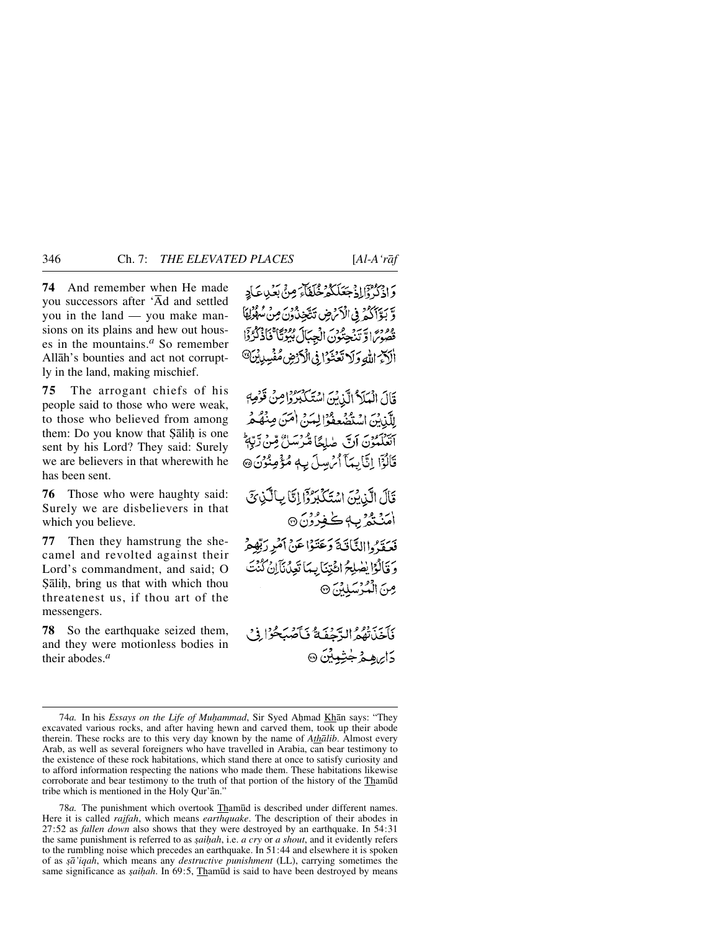**74** And remember when He made you successors after 'Åd and settled you in the land — you make mansions on its plains and hew out houses in the mountains.*<sup>a</sup>* So remember Allåh's bounties and act not corruptly in the land, making mischief.

**75** The arrogant chiefs of his people said to those who were weak, to those who believed from among them: Do you know that Salih is one sent by his Lord? They said: Surely we are believers in that wherewith he has been sent.

**76** Those who were haughty said: Surely we are disbelievers in that which you believe.

**77** Then they hamstrung the shecamel and revolted against their Lord's commandment, and said; O Salih, bring us that with which thou threatenest us, if thou art of the messengers.

**78** So the earthquake seized them, and they were motionless bodies in their abodes.*<sup>a</sup>*

وَإِذْكَرُوْٓإِلِّهُ جَعَلَكُمْ خُلَفَاتٍ مِنْ بِعَيْدِعَاجِ وَّ بَوَّأَكُمْ فِي الْأَمْرِضِ تَتَّجِنُّ دُنَ مِنْ مُكْمِنِّ هُ مُعْنِي الرِّيّنَ حِيْرُوسَ الْجِبَالَ بُيُوتًا ۚ فَاٰذُكُرُدِّا أَلَكَمُ اللَّهِ وَلَا تَعْنَوْا فِي الْكَرْضِ مُفْسِدِينَ

قَالَ الْعَلَاثُ الَّذِينَ اسْتَكْبُرُوْاصِنْ قَوْصِ لِلَّذِينَ اسْتَضْعِفُوًّا لِيَينَ اٰمَنَ صِنْهُ هُرُ آتَغَلَّمُوْنَ أَنَّ صٰلِحًا مُّرْسَلُ مِّنْ رِّبِّ قَالُوْٓا إِنَّا بِمَآ أَمْ سِلَ بِهٖ مُؤْمِنُوْنَ۞

قَالَ الَّذِيْنَ اسْتَكَبِّرُوْا اِتَّا بِالَّذِي امَنْتَمُرْبِهٖ كُفِرُوْنَ ۞ فعقدُواالثَّافَيَّةَ وَعَتَوْاعَنْ أَمْرِ رَبِّهِ هُرُ وَ قَالُوْا يُصْلِحُ ائْتِنَا بِيَا تَعِدُنَآإِنْ كُنْتَ صِنَ الْمُؤْسَلِينَ ۞

فَأَخَذْتُهُمُ الدَّحْفَةُ فَبَأَصْبَحُوْا فِي دَايرهه مُ جُثِبِينَ۞

78*a.* The punishment which overtook Tham∂d is described under different names. Here it is called *rajfah*, which means *earthquake*. The description of their abodes in 27:52 as *fallen down* also shows that they were destroyed by an earthquake. In 54:31 the same punishment is referred to as *saihah*, i.e. *a cry* or *a shout*, and it evidently refers to the rumbling noise which precedes an earthquake. In 51:44 and elsewhere it is spoken of as *©å'iqah*, which means any *destructive punishment* (LL), carrying sometimes the same significance as *saihah*. In 69:5, Thamūd is said to have been destroyed by means

<sup>74</sup>*a*. In his *Essays on the Life of Muhammad*, Sir Syed Ahmad Khān says: "They excavated various rocks, and after having hewn and carved them, took up their abode therein. These rocks are to this very day known by the name of *Athålib*. Almost every Arab, as well as several foreigners who have travelled in Arabia, can bear testimony to the existence of these rock habitations, which stand there at once to satisfy curiosity and to afford information respecting the nations who made them. These habitations likewise corroborate and bear testimony to the truth of that portion of the history of the Tham∂d tribe which is mentioned in the Holy Qur'ån."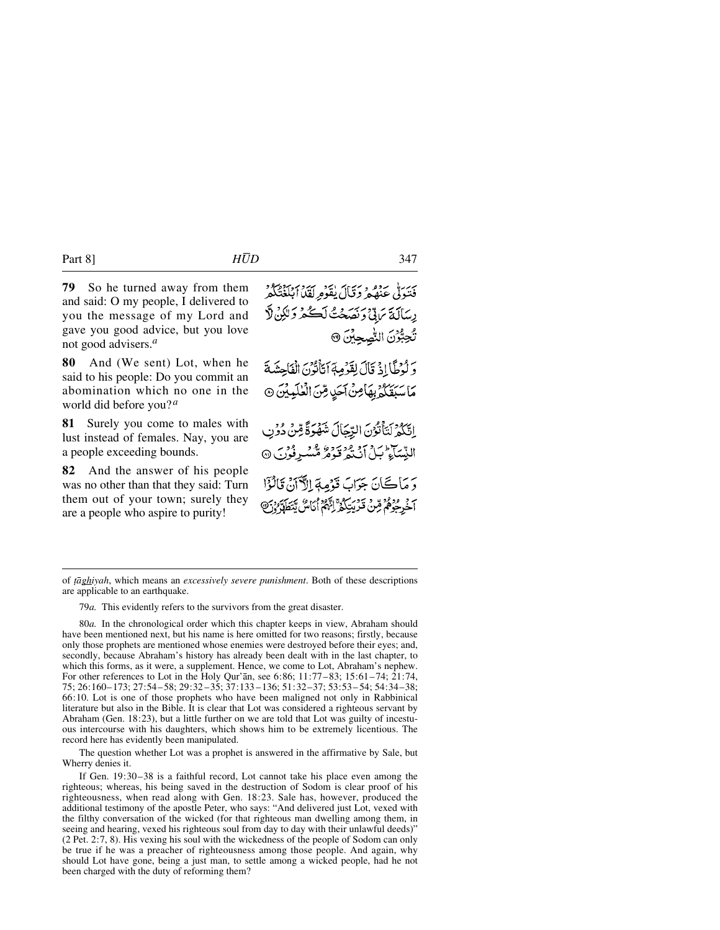Part 8] *HUD* 347

**79** So he turned away from them and said: O my people, I delivered to you the message of my Lord and gave you good advice, but you love not good advisers.*<sup>a</sup>*

**80** And (We sent) Lot, when he said to his people: Do you commit an abomination which no one in the world did before you?*<sup>a</sup>*

**81** Surely you come to males with lust instead of females. Nay, you are a people exceeding bounds.

**82** And the answer of his people was no other than that they said: Turn them out of your town; surely they are a people who aspire to purity!

فَتَوَلَّى عَنْهُمْ دَقَالَ يُقَوْمِرِ بَيْنَ ٱبْلَغْتُكُمْ رِسَالَةَ يَرَبِّيْ دَنْصَحْتُ لَكُمْ دَلَيْنِ لَا تُحِبُّرُنَ التُّصِحِيِّنَ ۞

وَلَوْطًا!ذَ قَالَ لِقَوْمِهِ ٱتَأْتُوْنَ الْفَاحِشَةَ مَاسَبَقَكُمْ بِهَامِنْ آَحَدٍ مِّنَ الْعٰلَيِيِّنَ @

اِتَّكُمُ لَتَأْتُوْنَ الِّتِّجَالَ شَهْرَةً مِّنْ دُوْنِ النِّسَاءِ بِ15 مِ مِرْيَةٍ وَ مِنْ الْمَسْرِفُونَ @

دَ مَاڪَانَ جَوَابَ قَوْمِةِ إِلاَّ آنْ قَالُوْٓا م و معدد قدر تحديد و المدم الكاس يتطلون

79*a.* This evidently refers to the survivors from the great disaster.

80*a.* In the chronological order which this chapter keeps in view, Abraham should have been mentioned next, but his name is here omitted for two reasons; firstly, because only those prophets are mentioned whose enemies were destroyed before their eyes; and, secondly, because Abraham's history has already been dealt with in the last chapter, to which this forms, as it were, a supplement. Hence, we come to Lot, Abraham's nephew. For other references to Lot in the Holy Qur'ån, see 6:86; 11:77–83; 15:61–74; 21:74, 75; 26:160–173; 27:54–58; 29:32 –35; 37:133 –136; 51:32–37; 53:53– 54; 54:34–38; 66:10. Lot is one of those prophets who have been maligned not only in Rabbinical literature but also in the Bible. It is clear that Lot was considered a righteous servant by Abraham (Gen. 18:23), but a little further on we are told that Lot was guilty of incestuous intercourse with his daughters, which shows him to be extremely licentious. The record here has evidently been manipulated.

The question whether Lot was a prophet is answered in the affirmative by Sale, but Wherry denies it.

If Gen. 19:30–38 is a faithful record, Lot cannot take his place even among the righteous; whereas, his being saved in the destruction of Sodom is clear proof of his righteousness, when read along with Gen. 18:23. Sale has, however, produced the additional testimony of the apostle Peter, who says: "And delivered just Lot, vexed with the filthy conversation of the wicked (for that righteous man dwelling among them, in seeing and hearing, vexed his righteous soul from day to day with their unlawful deeds)" (2 Pet. 2:7, 8). His vexing his soul with the wickedness of the people of Sodom can only be true if he was a preacher of righteousness among those people. And again, why should Lot have gone, being a just man, to settle among a wicked people, had he not been charged with the duty of reforming them?

of *ƌghiyah*, which means an *excessively severe punishment*. Both of these descriptions are applicable to an earthquake.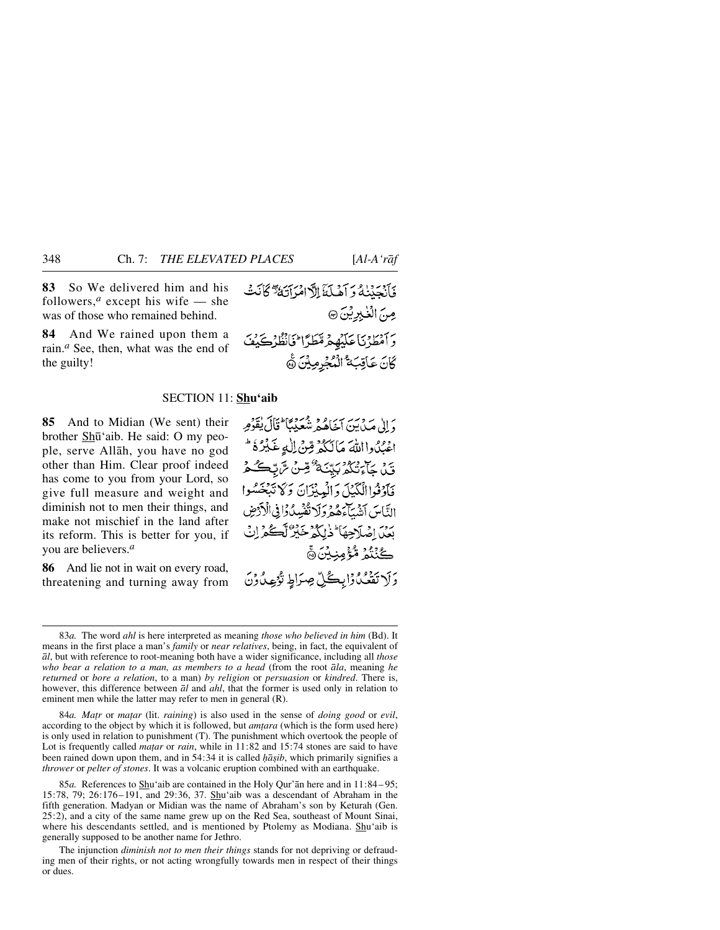**83** So We delivered him and his followers,<sup> $a$ </sup> except his wife — she was of those who remained behind.

**84** And We rained upon them a rain.*<sup>a</sup>* See, then, what was the end of the guilty!

#### SECTION 11: **Shu'aib**

**85** And to Midian (We sent) their brother Sh∂'aib. He said: O my people, serve Allåh, you have no god other than Him. Clear proof indeed has come to you from your Lord, so give full measure and weight and diminish not to men their things, and make not mischief in the land after its reform. This is better for you, if you are believers.*<sup>a</sup>*

**86** And lie not in wait on every road, threatening and turning away from وَ إِلَىٰ صَدْرَبِ سَرَعَ مِنْ شَعَيْدَ مِمَا ثَلَالَ يُقَوِّمِهِ اعْبُدُوااللَّهَ مَالَكُمْ قِنْ الْدِغَبْرُهُ ۖ ين جاء مدور بيّنَة <sup>6</sup>قِينْ سَّ تِكْمُ فَأَدْفُواالْكَيْلَ وَالْعِيْزَانَ وَكَا تَبْغَسُوا التَّاسَ أَنْبِيبَآءَهُمْ وَلَا تُفْسِدُوْإِ فِي الْأَدْوِضِ بَعْدَ إِصْلَاحِهَا ۖ ذٰلِكُمْ خَيْرٌ لَّكُمْ لِنُّ ِّكَنْنُمُ مُّؤْمِنِيْنَ۞ رَ لا تَقَعُدُوْابِكُلِّ صِرَاطٍ تُؤْمِدُونَ

84*a. Matr* or *matar* (lit. *raining*) is also used in the sense of *doing good* or *evil*, according to the object by which it is followed, but *am∆ara* (which is the form used here) is only used in relation to punishment (T). The punishment which overtook the people of Lot is frequently called *ma∆ar* or *rain*, while in 11:82 and 15:74 stones are said to have been rained down upon them, and in 54:34 it is called *hāṣib*, which primarily signifies a *thrower* or *pelter of stones*. It was a volcanic eruption combined with an earthquake.

85*a.* References to Shu'aib are contained in the Holy Qur'ån here and in 11:84– 95; 15:78, 79; 26:176–191, and 29:36, 37. Shu'aib was a descendant of Abraham in the fifth generation. Madyan or Midian was the name of Abraham's son by Keturah (Gen. 25:2), and a city of the same name grew up on the Red Sea, southeast of Mount Sinai, where his descendants settled, and is mentioned by Ptolemy as Modiana. Shu'aib is generally supposed to be another name for Jethro.

The injunction *diminish not to men their things* stands for not depriving or defrauding men of their rights, or not acting wrongfully towards men in respect of their things or dues.

فَأَنْهَدَنْنَاهُ وَ آَهْيِكَنَّالَا امْرَأَتِيَةً ۗ كَأَنَتْ صِنَ الْغَيْدِيْنَ @ وَأَمْطَرْنَا عَلَيْهِمْ مَّطَرًّا فَأَنْظُرُكَيْفَ كَانَ عَاقِبَةُ الْمُجْرِمِيْنَ ثَمَّ

<sup>83</sup>*a.* The word *ahl* is here interpreted as meaning *those who believed in him* (Bd). It means in the first place a man's *family* or *near relatives*, being, in fact, the equivalent of *ål*, but with reference to root-meaning both have a wider significance, including all *those who bear a relation to a man, as members to a head* (from the root *åla*, meaning *he returned* or *bore a relation*, to a man) *by religion* or *persuasion* or *kindred*. There is, however, this difference between *ål* and *ahl*, that the former is used only in relation to eminent men while the latter may refer to men in general (R).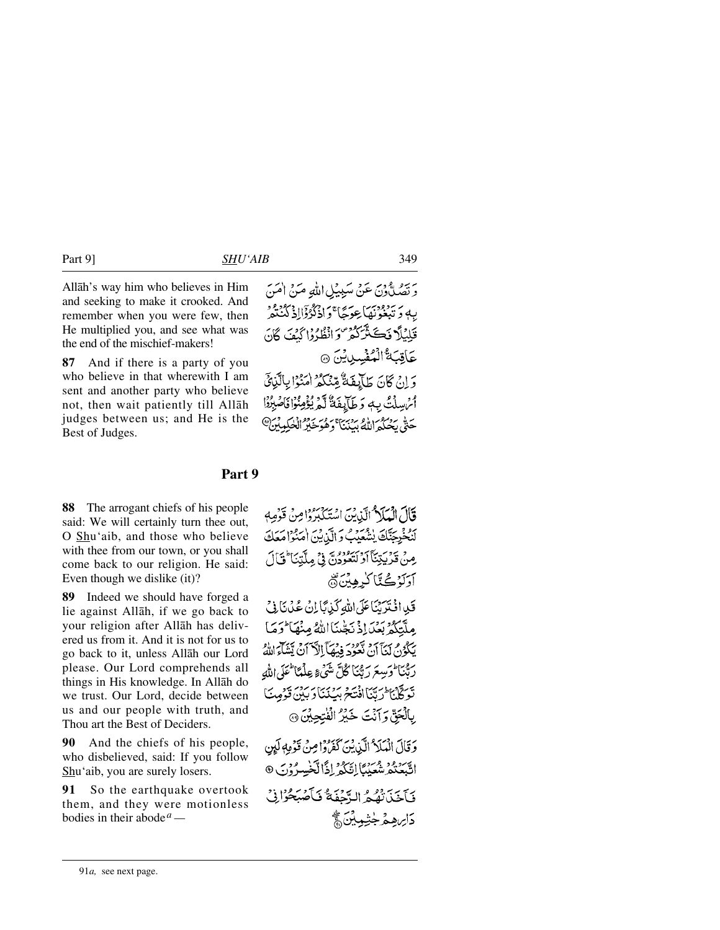Allåh's way him who believes in Him and seeking to make it crooked. And remember when you were few, then He multiplied you, and see what was the end of the mischief-makers!

**87** And if there is a party of you who believe in that wherewith I am sent and another party who believe not, then wait patiently till Allåh judges between us; and He is the Best of Judges.

وَتَصَلُّوْنَ عَنْ سَبِيْلِ اللَّهِ مَنْ امْنَ بِهِ دَ تَبْغُوۡنَهَا عِدَيَّا ۚ دَاذْكُرُوۡۤالِهَ كَيُّنَّهُ ۚ قَلِيْلًا فَكَشَّدَّكُمْ وَانْظُرُوْا كَنْفَ كَانَ عَاقِبَةُ الْمُفْسِدِينَ @ وَ إِنْ كَانَ طَآيِفَةٌ مِّنْكُمْ امْنُوْا بِالَّذِيِّ أَمُ سِلْتُ بِ وَطَآيِفَةٌ لَّمَ يُؤْمِنُوْا فَاصْبِرُوْا حَتّى بِحُبِكُمُ اللَّهُ بِدَنِيَّ } وَهُوَ خَبِيْرُ الْخَلِمِينَ @

# **Part 9**

**88** The arrogant chiefs of his people said: We will certainly turn thee out, O Shu'aib, and those who believe with thee from our town, or you shall come back to our religion. He said: Even though we dislike (it)?

**89** Indeed we should have forged a lie against Allåh, if we go back to your religion after Allåh has delivered us from it. And it is not for us to go back to it, unless Allåh our Lord please. Our Lord comprehends all things in His knowledge. In Allåh do we trust. Our Lord, decide between us and our people with truth, and Thou art the Best of Deciders.

**90** And the chiefs of his people, who disbelieved, said: If you follow Shu'aib, you are surely losers.

**91** So the earthquake overtook them, and they were motionless bodies in their abode *a —*

قَالَ الْمَلَامُ الَّذِينَ اسْتَكْبَرُوْا مِنْ قَوْمِهِ لَنُخْرِجِنَّكَ يُشْعَيْبُ وَالَّذِينَ امْنُوا مَعَكَ مِنْ قَدْيَيْنَآ أَدْنَيْنُوْدُنَّ فِي مِلَّتِنَا ۖ فَأَلَ آدَلَزْ ڪُٽَا کُرِهِينَ ۞

قَلِ افْتَرَيْنَاعَلَى اللَّهِ كَيْبَابَانْ عُدُنَا فِي مِلَّتَكُّهُ بَعْيَا إِذْ نَجِّينَا اللَّهُ مِنْهَا لَرَمَا بِ مِنْ مِنْ آنَ تَعُودِ وَمِنَآ الْآيَنَ يَسْمَعُ اللَّهُ ۖ<br>يَبْكُونُ لَيْنَآ أَنْ نَعُودِ فِيهَمَآ الدَّ أَنْ يَتَنَاءَ اللَّهُ رِيْبَا وَسِعَ رَبُّنَا كُلَّ شَيْءٍ عِلْمًا عَلَى اللَّهِ يَر وَدِيَّا الْجَدَافِيَّةَ بِرِيبِيِّ دَبِيْنِ وَجَبِيَّ وَدَوِيبَ بِالْجَنِّ وَآنَتَ خَيْرُ الْفُتِحِينَ ۞

وَقَالَ الْمَلَا ٌ الَّيْ يُنَ كَفَرُوْا مِنْ قَوْمِهِ لَيِنِ اتَّبَعْتُمْ شُعَيْبًا إِتَّكُمْ إِذًا لَّخْسِرُوْنَ ۞ وَبَاحَيْنَ تُقِيمٍ الدَّحْفَةُ وَبِأَصْبَحُوْا فِي <u>دَايره مْرِ جُتْمِينَ ڇَ</u>

91*a,* see next page.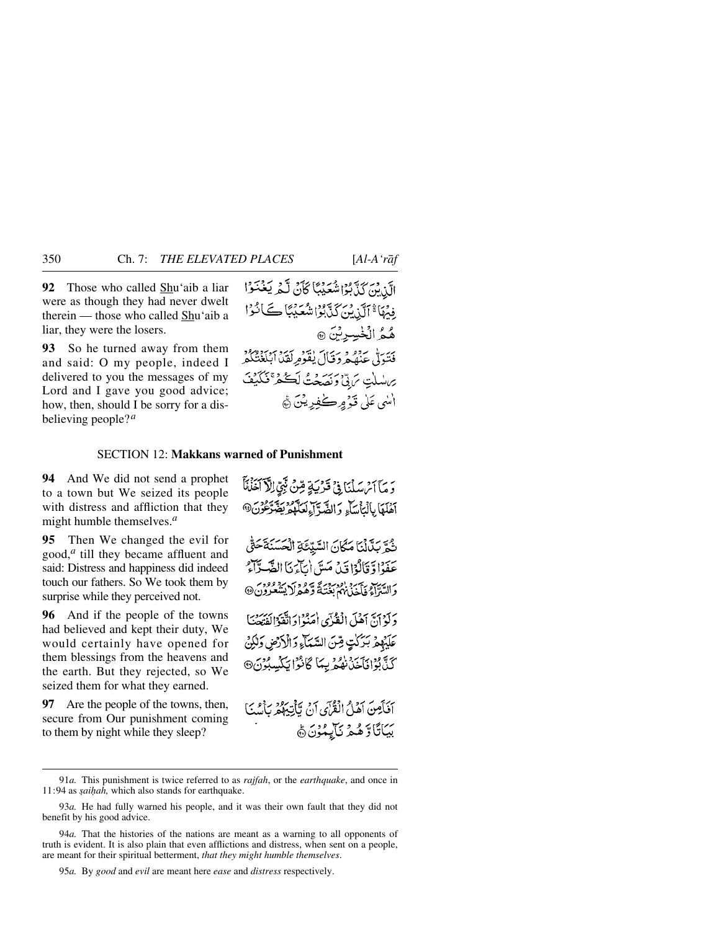**92** Those who called Shu'aib a liar were as though they had never dwelt therein — those who called Shu'aib a liar, they were the losers.

**93** So he turned away from them and said: O my people, indeed I delivered to you the messages of my Lord and I gave you good advice; how, then, should I be sorry for a disbelieving people?*<sup>a</sup>*

الَّنِ بِّنَ كَذَّبُوْاشْعَيْبًا كَأَنْ لَّمْ يَغْنَوْا فِيْهَا ۚ ٱلَّذِيْنَ كَذَّبُوْا شُعَيْبًا كَانُوْا هُمُ الْخْسِرِيْنَ @ فَتَبَدَلْ عِنْصُهُ دَخَيَالَ يَقْوَمِ لَقِدًا الْبَغْتُكُمْ يراسلتِ تربيٍّ ونصحتُ لَكُمْ تَكَيْفَ انسي عَلَىٰ قَدۡ مِرڪٰفِدِيۡنَ ۞

## SECTION 12: **Makkans warned of Punishment**

**94** And We did not send a prophet to a town but We seized its people with distress and affliction that they might humble themselves.*<sup>a</sup>*

**95** Then We changed the evil for good,*<sup>a</sup>* till they became affluent and said: Distress and happiness did indeed touch our fathers. So We took them by surprise while they perceived not.

**96** And if the people of the towns had believed and kept their duty, We would certainly have opened for them blessings from the heavens and the earth. But they rejected, so We seized them for what they earned.

**97** Are the people of the towns, then, secure from Our punishment coming to them by night while they sleep?

وَ مَآ أَمْ سَلْنَا فِيۡ قَرَٰيَةٍ قِنْ نَبِيِّ اِلْآَ آَخَلْنَا آهُلَهَا بِالْيَأْسَاءِ وَالضَّرَّ إِءِلْعَلَّهُمُ بِضَرَّعُوْنَ®

شُمَّ بَدَّانَا مَكَانَ السَّيِّئَةِ الْحَسَنَةَحَقُّ عَفَوْا وَّقَالُوْا قَدْ مَسَّ أَيْآَءَنَا الشَّيْرَآءُ د السراء في سر الوربية وهي من من وروبر.<br>د السراء فاخذيهم بغتيةً وهيمرلا يشعرون@

دَكَّرْ أَنَّ أَهْلَ الْقُدَّى أَمَنُوادَ اتَّقَدَّالْفَتَعَتَـٰٓا عَلَيْهِمْ بَيْرَكْتٍ قِينَ السَّيَمَاءِ وَالْأَرْضِ وَلَٰكِنْ كَنَّابُوْافْآَخْذَنْفُعْرَ بِيمَا كَانْزَا يَكْسِبُوْنَ®

آفَأَصِنَ آهَلُ الْقُرْآيِ آنُ يَأْتِيَهُمْ بِأَسْكَ بَيَاتًاوٌ هُمْ نَآيِمُوْنَ ﴾

95*a.* By *good* and *evil* are meant here *ease* and *distress* respectively.

<sup>91</sup>*a.* This punishment is twice referred to as *rajfah*, or the *earthquake*, and once in 11:94 as *şaiḥah*, which also stands for earthquake.

<sup>93</sup>*a.* He had fully warned his people, and it was their own fault that they did not benefit by his good advice.

<sup>94</sup>*a.* That the histories of the nations are meant as a warning to all opponents of truth is evident. It is also plain that even afflictions and distress, when sent on a people, are meant for their spiritual betterment, *that they might humble themselves*.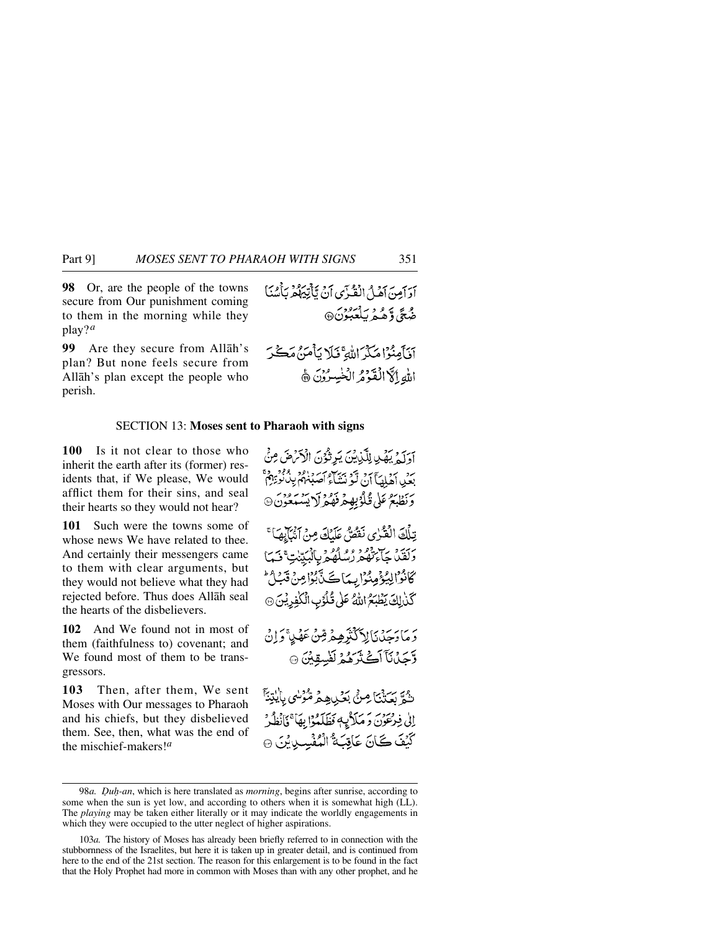**98** Or, are the people of the towns secure from Our punishment coming to them in the morning while they play?*<sup>a</sup>*

**99** Are they secure from Allåh's plan? But none feels secure from Allåh's plan except the people who perish.

ادائصَ أَهْلُ الْقُرْىِ أَنْ يَأْتِيَهُمْ بَأْسُنَا صُبِحَ، وَّهُمْهُ بِٱلْعَبُوْنَ@

### SECTION 13: **Moses sent to Pharaoh with signs**

**100** Is it not clear to those who inherit the earth after its (former) residents that, if We please, We would afflict them for their sins, and seal their hearts so they would not hear?

**101** Such were the towns some of whose news We have related to thee. And certainly their messengers came to them with clear arguments, but they would not believe what they had rejected before. Thus does Allåh seal the hearts of the disbelievers.

**102** And We found not in most of them (faithfulness to) covenant; and We found most of them to be transgressors.

**103** Then, after them, We sent Moses with Our messages to Pharaoh and his chiefs, but they disbelieved them. See, then, what was the end of the mischief-makers!*<sup>a</sup>*

آدَكَمْ يَهْدِ لِلَّذِيْنَ يَرِثُوْنَ الْأَمْرَضَ مِنْ يرد برد آهي آن ٿو بيپيءِ سردامه پر بوءِ ۾<br>بعيد اهلهيا آن ٿو بيپياءِ آصڊنهم پيٺٽو بِهِم وَنَظْبَعُ عَلَىٰ قُلُوۡبِهِمۡ فَهُمُوۡلَا بِسَنَعۡوَنَ ۞ تِلْكَ الْفَرْيِ نَفْصٌ عَلَيْكَ مِنْ آَتَيْ لِهِمْ} ۚ ىرىيە بەيدە دەم مەدرانىسى<br>دىقىي ئائىقكىررسىلۇم بالېتىپ قىما كَانْزَالِيُؤْمِنُوا بِيدَاكَ نَّ بُوْامِنْ قَدَارُ كَّنْ لِكَ يَظْبَعُ اللَّهُ عَلَى قُلُوْبِ الْكَلْفِرِيْنَ ۞ دَ مَادَجَدْنَالِا كَثْرَهِمْ شِنْ عَهْدِ أَوَإِنْ وَّحِيْنَاَ آَكَتْرَهُمْ لَفْسِقِيْنَ ۞

ثُمَّ بَكَتْنَاصِنَّ بَكْرِيهِمْ مُّؤْسِي بِالْيِتِنَّ إِلَى فِرْعَوْنَ وَمَلَاثٍهِ وَظَلَمْوَا بِهَا ۚ فَأَنْظُرُ كَيْفَ كَانَ عَاقِبَهُ ۚ الْمُفْسِدِينَ ۞

<sup>98</sup>*a. Duh-an*, which is here translated as *morning*, begins after sunrise, according to some when the sun is yet low, and according to others when it is somewhat high (LL). The *playing* may be taken either literally or it may indicate the worldly engagements in which they were occupied to the utter neglect of higher aspirations.

<sup>103</sup>*a.* The history of Moses has already been briefly referred to in connection with the stubbornness of the Israelites, but here it is taken up in greater detail, and is continued from here to the end of the 21st section. The reason for this enlargement is to be found in the fact that the Holy Prophet had more in common with Moses than with any other prophet, and he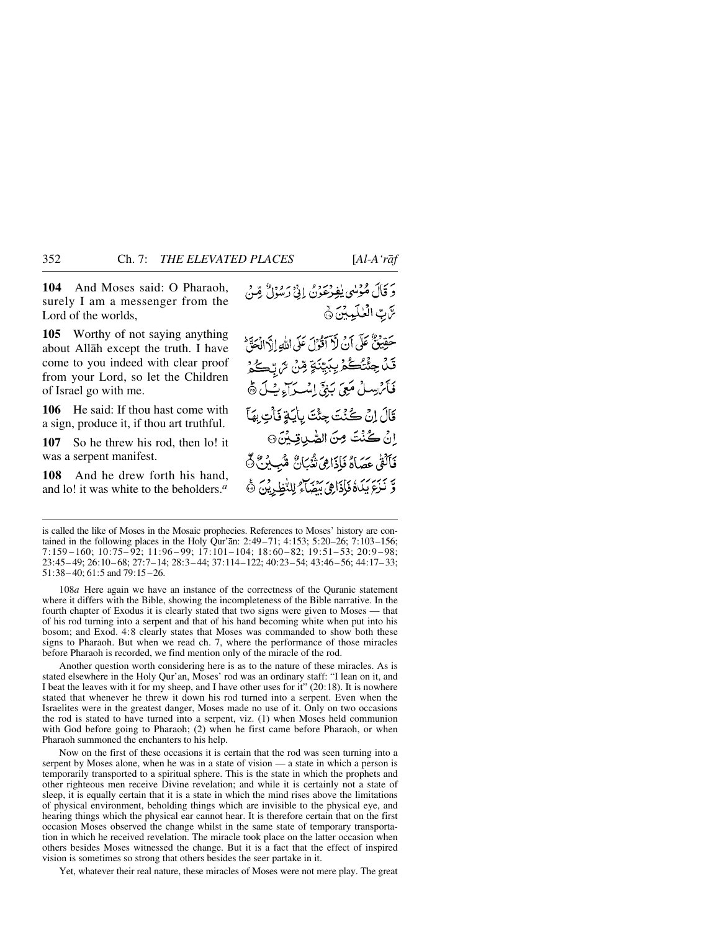**104** And Moses said: O Pharaoh, surely I am a messenger from the Lord of the worlds,

**105** Worthy of not saying anything about Allåh except the truth. I have come to you indeed with clear proof from your Lord, so let the Children of Israel go with me.

**106** He said: If thou hast come with a sign, produce it, if thou art truthful.

**107** So he threw his rod, then lo! it was a serpent manifest.

**108** And he drew forth his hand, and lo! it was white to the beholders.*<sup>a</sup>*

حَقِيقٌ عَلَى أَنْ لَأَ أَقُوْلَ عَلَى اللَّهِ إِلَّا الْحَقَّ قَدُ جِئْتُكُمْ بِبَيِّنَةٍ مِّنْ تَرَبِّكُمْ فَأَيْرَ بِيبِي بِيَبِيِّ إِسْبِ أَءٍ بِ مِنْ فَيْ لَيْ قَالَ إِنْ كُنْتَ جِئْتَ بِأَيَةٍ فَأَتِ بِهَآ إِنْ كُنْتَ مِنَ الصَّدِيقِيِّنَ۞ فَأَلْقَٰى عَصَاهُ فَإِذَاهِيَ تُعُبَانُ مُّبِينُ ﴾ وَّ نَزِعَ بِيَدَهُ فَأَذَاهِيَ رَدِيبٍ لِلنَّظِي يَنَ ۞

108*a* Here again we have an instance of the correctness of the Quranic statement where it differs with the Bible, showing the incompleteness of the Bible narrative. In the fourth chapter of Exodus it is clearly stated that two signs were given to Moses — that of his rod turning into a serpent and that of his hand becoming white when put into his bosom; and Exod. 4:8 clearly states that Moses was commanded to show both these signs to Pharaoh. But when we read ch. 7, where the performance of those miracles before Pharaoh is recorded, we find mention only of the miracle of the rod.

Another question worth considering here is as to the nature of these miracles. As is stated elsewhere in the Holy Qur'an, Moses' rod was an ordinary staff: "I lean on it, and I beat the leaves with it for my sheep, and I have other uses for it"  $(20:18)$ . It is nowhere stated that whenever he threw it down his rod turned into a serpent. Even when the Israelites were in the greatest danger, Moses made no use of it. Only on two occasions the rod is stated to have turned into a serpent, viz. (1) when Moses held communion with God before going to Pharaoh; (2) when he first came before Pharaoh, or when Pharaoh summoned the enchanters to his help.

Now on the first of these occasions it is certain that the rod was seen turning into a serpent by Moses alone, when he was in a state of vision — a state in which a person is temporarily transported to a spiritual sphere. This is the state in which the prophets and other righteous men receive Divine revelation; and while it is certainly not a state of sleep, it is equally certain that it is a state in which the mind rises above the limitations of physical environment, beholding things which are invisible to the physical eye, and hearing things which the physical ear cannot hear. It is therefore certain that on the first occasion Moses observed the change whilst in the same state of temporary transportation in which he received revelation. The miracle took place on the latter occasion when others besides Moses witnessed the change. But it is a fact that the effect of inspired vision is sometimes so strong that others besides the seer partake in it.

Yet, whatever their real nature, these miracles of Moses were not mere play. The great

is called the like of Moses in the Mosaic prophecies. References to Moses' history are contained in the following places in the Holy Qur'ån: 2:49–71; 4:153; 5:20–26; 7:103–156; 7:159 –160; 10:75– 92; 11:96– 99; 17:101–104; 18:60–82; 19:51–53; 20:9–98; 23:45– 49; 26:10– 68; 27:7–14; 28:3– 44; 37:114–122; 40:23–54; 43:46– 56; 44:17– 33; 51:38– 40; 61:5 and 79:15 –26.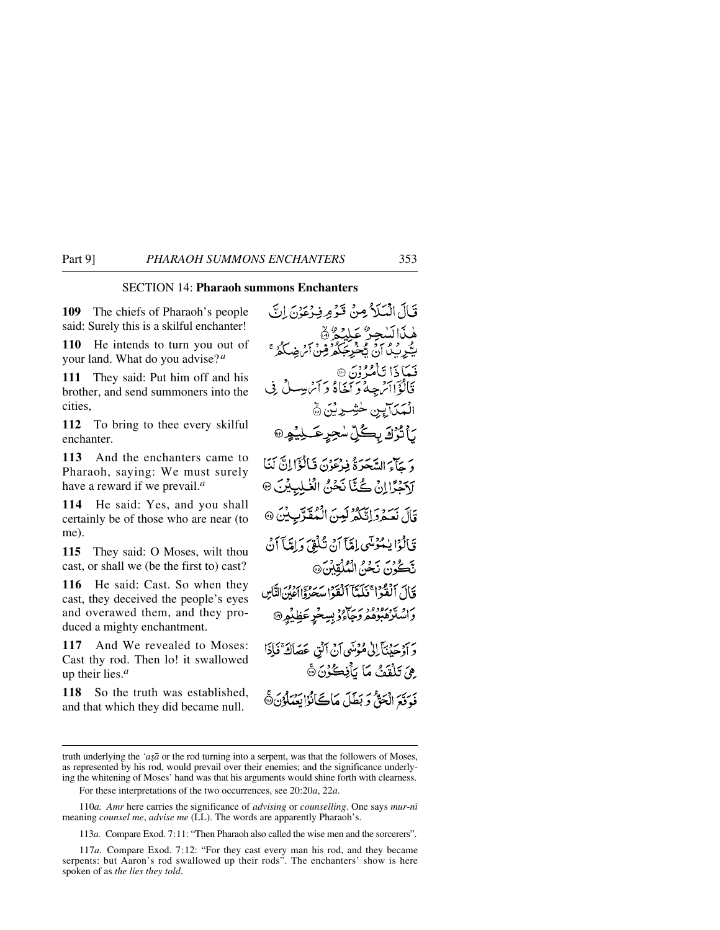# SECTION 14: **Pharaoh summons Enchanters**

**109** The chiefs of Pharaoh's people said: Surely this is a skilful enchanter!

**110** He intends to turn you out of your land. What do you advise?*<sup>a</sup>*

**111** They said: Put him off and his brother, and send summoners into the cities,

**112** To bring to thee every skilful enchanter.

**113** And the enchanters came to Pharaoh, saying: We must surely have a reward if we prevail.*<sup>a</sup>*

**114** He said: Yes, and you shall certainly be of those who are near (to me).

**115** They said: O Moses, wilt thou cast, or shall we (be the first to) cast?

**116** He said: Cast. So when they cast, they deceived the people's eyes and overawed them, and they produced a mighty enchantment.

**117** And We revealed to Moses: Cast thy rod. Then lo! it swallowed up their lies.*<sup>a</sup>*

**118** So the truth was established, and that which they did became null.

قَبَالَ الْمَيَلَاثُومِنْ قَيْوُمِرِ فِيدْعَوْنَ إِنَّ ۿۮؘٳڷڛٚڿۯ۠؏ڸؽۄ۠۞<br>ڽۘڋڔؽۮٳڽ۩ڂڮػۿۯٙڡۣڹ۩ۻػۮ فَيَمَاٰ ذَا تَأْمُرُونَ۞ قَالُوۡٓالۡمٰ حِدۡءَ ۖ مَنَاهُ وَ ٱِمۡ بِسِيلُ فِی الْمَكَالِيِنِ خَشِرِيْنَ ۞ *ن*َأَتْرُكَ بِكُلِّ سُجِرِعَــَـلِيُّمِرِ @ دَيْمَآءَ السَّعَدَةُ فِيرْعَوْنَ فَبَالُؤَالِنَّ لَنَا ارَكْجُرًا إِنْ كُنَّا نَحْنُ الْغَلِبِيْنَ۞ قَالَ نَعْدُدَانَّكُمْ لَيْنَ الْمُقَرَّبِيْنَ @ قَالَوْا يَسْمَوْمَنِّي إِمَّنَا أَنْ تُلْقِيَ وَإِمَّا آَنْ تَكُونَ نَحْنُ الْمُلْقِيْنَ، فَأَلَى ٱلۡفَوۡنَا ۚ ذَلَمَّآ ٱلۡقَوۡرَا سَعَدُوۡۤالۡ ٱلۡنَّاسِ راشترهبودور ري.<br>واشترهبوهمروجاءوبسخرعظيمر© وَ أَوْجَدْنَأَ إِلَىٰ مُؤْمَنِي أَنْ أَنْقِ عَصَاكَةً فَإِذَا ِ هِيَ تَلْقَفُ مَا يَأْفِكُوْنَ ﴾ فَوَقَعَ الْجَنَّ وَبَطَلَ مَاكَنَّانُوْابَعْبَلُوْنَ۞

113*a.* Compare Exod. 7:11: "Then Pharaoh also called the wise men and the sorcerers".

truth underlying the 'aşa or the rod turning into a serpent, was that the followers of Moses, as represented by his rod, would prevail over their enemies; and the significance underlying the whitening of Moses' hand was that his arguments would shine forth with clearness.

For these interpretations of the two occurrences, see 20:20*a*, 22*a*.

<sup>110</sup>*a. Amr* here carries the significance of *advising* or *counselling*. One says *mur-nß* meaning *counsel me*, *advise me* (LL). The words are apparently Pharaoh's.

<sup>117</sup>*a.* Compare Exod. 7:12: "For they cast every man his rod, and they became serpents: but Aaron's rod swallowed up their rods". The enchanters' show is here spoken of as *the lies they told*.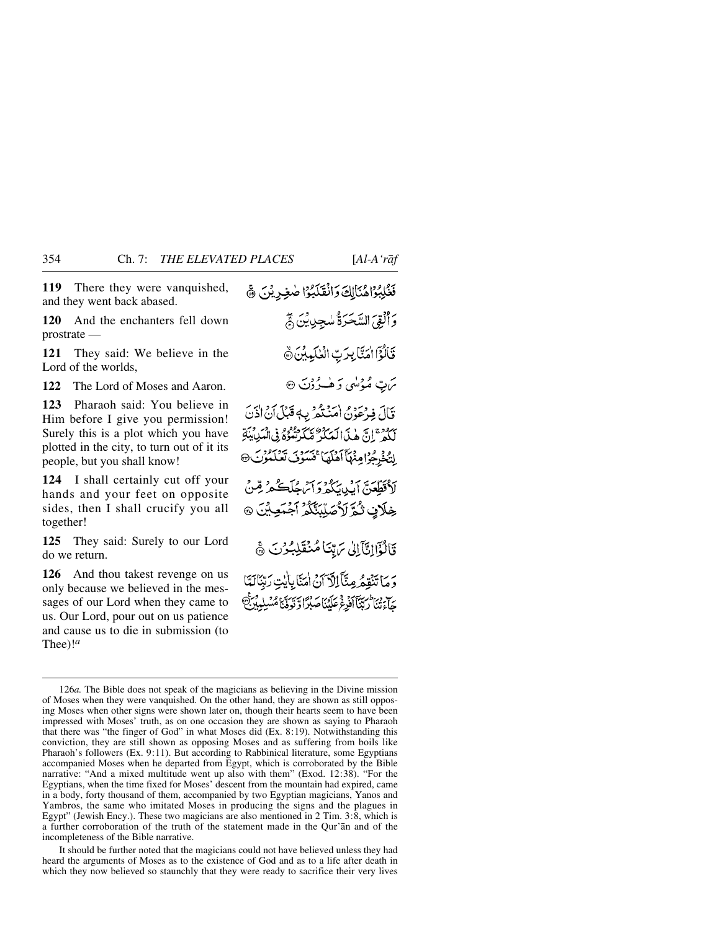**119** There they were vanquished,

and they went back abased.

**120** And the enchanters fell down prostrate —

**121** They said: We believe in the Lord of the worlds,

**122** The Lord of Moses and Aaron.

**123** Pharaoh said: You believe in Him before I give you permission! Surely this is a plot which you have plotted in the city, to turn out of it its people, but you shall know!

**124** I shall certainly cut off your hands and your feet on opposite sides, then I shall crucify you all together!

**125** They said: Surely to our Lord do we return.

**126** And thou takest revenge on us only because we believed in the messages of our Lord when they came to us. Our Lord, pour out on us patience and cause us to die in submission (to Thee)!*<sup>a</sup>*

نَظُلِبُوْاهُنَالِكَ وَانْقَلَبُوْا صٰغِرِيْنَ ﴾ وَأَلْقِيَ السَّحَرَةُ سُجِدِينَ ﴾ قَالُوْٓا اٰمَنَّا بِرَبِّ الْعٰلَيِّينَ ﴾ ىن ئەۋسى كەلھىدۇنَ ۞ قَالَ فِيرْعَوْنَ امْنَدْهُمْ بِ4قَبْلَ أَنْ إِذْنَ بِهُ وَمَنْ إِنَّ هٰذَا لَمَدَ وَعَظَيْرَتُمُوْهُ فِي الْمَدِينَةِ إِنَّ خُرِجُوْا مِنْهَا أَهْلَهَا ۚ فَسَوْفَ تَعْلَمُوْنَ ® لَأَقَطَّعَنَّ إِيكِيبَكُمْ وَأَنْهَجُلَڪُمْ قِنْ خِلَانِ ثُمَّ لَأَصَلِّبَنَّكُمْ آَجْمَعِيْنَ ۞ قَالُؤَاإِنَّآَإِلَىٰ مَ تِّنَا مُنْقَلِبُوْنَ ﴾ وَمَا تَنْقِعُهُ مِنَّآَ إِلَّا َنَ اٰمَنَّا بِإِيٰتِ رَبِّنَالَهَا حِ دِينَ الرِّيِّنَا كَذَبِهِ عَمَلَتْنَا صَدْرًا وَ نَوَوْنَا مُتَسِلِّدِبِيَّنَّ

It should be further noted that the magicians could not have believed unless they had heard the arguments of Moses as to the existence of God and as to a life after death in which they now believed so staunchly that they were ready to sacrifice their very lives

<sup>126</sup>*a.* The Bible does not speak of the magicians as believing in the Divine mission of Moses when they were vanquished. On the other hand, they are shown as still opposing Moses when other signs were shown later on, though their hearts seem to have been impressed with Moses' truth, as on one occasion they are shown as saying to Pharaoh that there was "the finger of God" in what Moses did (Ex. 8:19). Notwithstanding this conviction, they are still shown as opposing Moses and as suffering from boils like Pharaoh's followers (Ex. 9:11). But according to Rabbinical literature, some Egyptians accompanied Moses when he departed from Egypt, which is corroborated by the Bible narrative: "And a mixed multitude went up also with them" (Exod. 12:38). "For the Egyptians, when the time fixed for Moses' descent from the mountain had expired, came in a body, forty thousand of them, accompanied by two Egyptian magicians, Yanos and Yambros, the same who imitated Moses in producing the signs and the plagues in Egypt" (Jewish Ency.). These two magicians are also mentioned in 2 Tim. 3:8, which is a further corroboration of the truth of the statement made in the Qur'ån and of the incompleteness of the Bible narrative.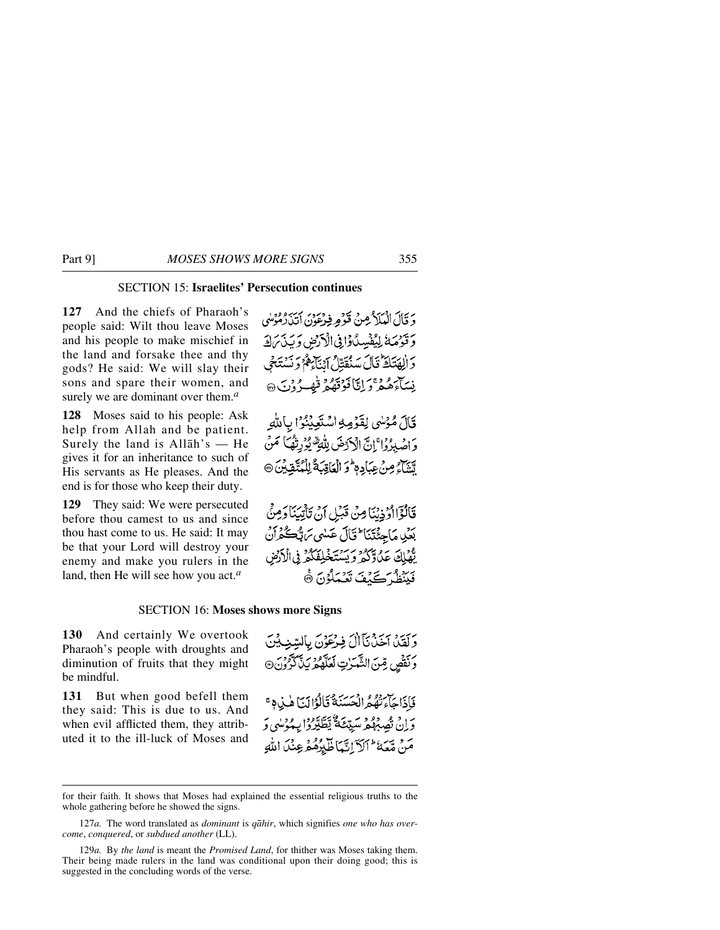# SECTION 15: **Israelites' Persecution continues**

**127** And the chiefs of Pharaoh's people said: Wilt thou leave Moses and his people to make mischief in the land and forsake thee and thy gods? He said: We will slay their sons and spare their women, and surely we are dominant over them.*<sup>a</sup>*

**128** Moses said to his people: Ask help from Allah and be patient. Surely the land is Allåh's — He gives it for an inheritance to such of His servants as He pleases. And the end is for those who keep their duty.

**129** They said: We were persecuted before thou camest to us and since thou hast come to us. He said: It may be that your Lord will destroy your enemy and make you rulers in the land, then He will see how you act.*<sup>a</sup>*

وَ قَالَ الْمَلَامُ مِنْ قَوْمِ فِيهْ يَوْمَ بِهَيْبِرُهُ مُؤْمِلُهِ، وَقَوْمَهُ لِيُفْسِدُ وَافِي الْأَرْضِ وَيَذَبَرَكَ وَالِهَنَاظَ قَالَ سَنُقَتِلُ أَيْنَآءَهُمْ وَنَسْتَحْيَى نِيبَآءَهُ وَجَ إِنَّا فَوْقَهُمْ قَيْصِهُ وُنَ ۞

قَالَ مُؤْسِي لِقَوْمِهِ اسْتَعِيْنُوْا بِاللَّهِ وَ اصْبِرُوْا ۚ إِنَّ الْآرَضَ لِلَّهِ ۖ يُوۡرِثُهُمَا ۖ مَنۡ مَّتَنَاءُ مِنْ عِبَادِ م<sup>ِل</sup>وَ الْعَاقِبَةُ لِلْمُتَّقِينَ۞

فَالْوَّااوُذِيْنَا مِنْ قَبَلِ أَنْ تَأْتِيَنَا دَمِنَّ بَعْيْدِ مَاجِئِتِنَا ۖ قَالَ عَبْدِي بَرَبُّكُمْ أَنَّ يَّهْلِكَ عَدُوَّكُمْ وَيَسْتَخْلِفَكُمْ فِي الْأَرْضِ فَبِنَظُ كَيْفَ تَعْمَلُوْنَ ﴾

#### SECTION 16: **Moses shows more Signs**

**130** And certainly We overtook Pharaoh's people with droughts and diminution of fruits that they might be mindful.

**131** But when good befell them they said: This is due to us. And when evil afflicted them, they attributed it to the ill-luck of Moses and وَلَقَيْنَ آخَنْ نَأَالَ فِيرْعَوْنَ بِالسَّنِيْتِيْنَ وَنَقْصٍ مِّنَ الشَّرَنِ لَعَلَّهُمْ يَذَّكَّرُوْنَ @

فَأَذَاجَآءَتُهُمُ الْحَسَنَةُ قَالَوْالَّيَا هٰذِهِ ۚ د اق تصهیم سیّعَهٔ یَطَیّرُوا بِهُ دِمِی دَ مَنْ مِّعَةَ ۖ ٱلۡ ٓالَّهَ ٱلَّيۡلِهُ مُوطِنُ ٱللَّهِ

for their faith. It shows that Moses had explained the essential religious truths to the whole gathering before he showed the signs.

<sup>127</sup>*a.* The word translated as *dominant* is *qåhir*, which signifies *one who has overcome*, *conquered*, or *subdued another* (LL).

<sup>129</sup>*a.* By *the land* is meant the *Promised Land*, for thither was Moses taking them. Their being made rulers in the land was conditional upon their doing good; this is suggested in the concluding words of the verse.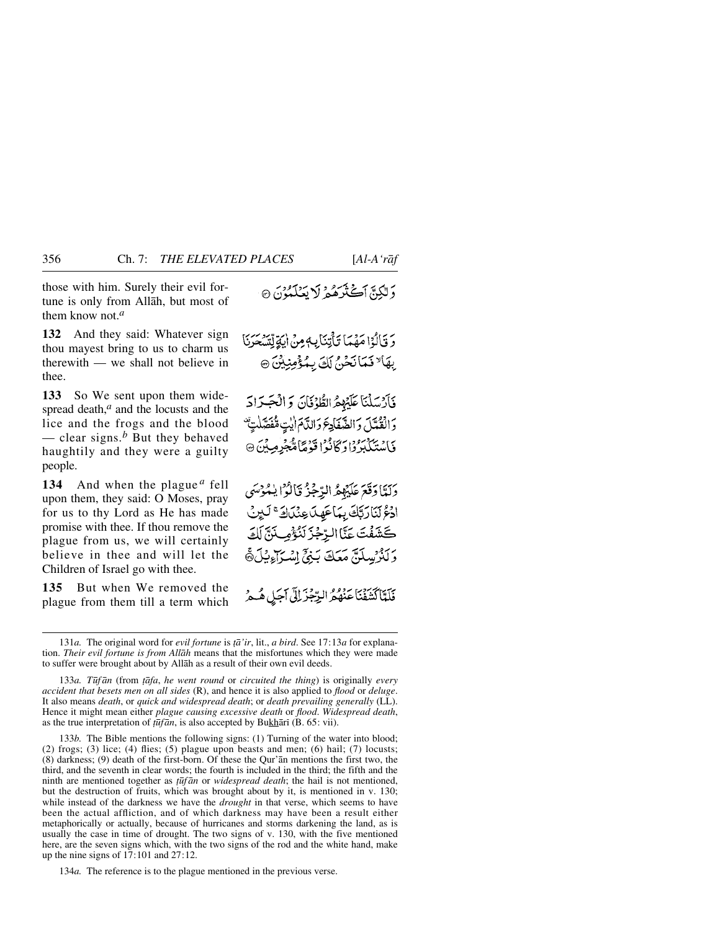those with him. Surely their evil fortune is only from Allåh, but most of them know not.*<sup>a</sup>*

**132** And they said: Whatever sign thou mayest bring to us to charm us therewith — we shall not believe in thee.

**133** So We sent upon them widespread death,<sup>*a*</sup> and the locusts and the lice and the frogs and the blood — clear signs.<sup>b</sup> But they behaved haughtily and they were a guilty people.

**134** And when the plague *<sup>a</sup>* fell upon them, they said: O Moses, pray for us to thy Lord as He has made promise with thee. If thou remove the plague from us, we will certainly believe in thee and will let the Children of Israel go with thee.

**135** But when We removed the plague from them till a term which دَ لِيَكِيٌّ أَكْثَرَهُمْ لَا يَعْلَمُوْنَ ۞

رَ قَالُوْا مَهْمَا تَأْتِنَابِهِ مِنْ الِهَةِ لِّسَجَرَنَا بِهَا لَا فَعَانَحْنُ لَكَ بِمُؤْمِنِيْنَ ۞

فَأَرْسَلْنَا عَلَيْهِمُ الطُّوْفَانَ وَالْجَرَادَ دَ الْقُدَلَ وَالضَّفَادِعَ وَالدَّامَ إِيْتِ مُفْصَلَتِهُ ۖ فَاسْتَكْبَرُوا وَكَانُوْا قَوْمًا مُّجْرِمِيْنَ ۞

دَلَّهَا دَقَعَ عَلَيْهِمُّ الرَّجْزُ قَالُوْا يٰمُوْسَى ادُعُ لَنَارَتِّكَ بِمَاعَهِلَ عِنْدَادَ ۚ لَيْنَ كَشَفْتَ عَنَّا الرِّجْزَ لَنُؤْمِى نَنَّ لَكَ وَلَلْرَسِلَةِ مَعَكَ بَنِيٍّ اِسْرَاءِيْلَ®َ

فَلَمَّأَكَّتَنَفْنَاعَنْهُمُّ الرِّجْزَلِلَّى أَجَلٍ هُـمُّ

133*a. T∂f ån* (from *ƌfa*, *he went round* or *circuited the thing*) is originally *every accident that besets men on all sides* (R), and hence it is also applied to *flood* or *deluge*. It also means *death*, or *quick and widespread death*; or *death prevailing generally* (LL). Hence it might mean either *plague causing excessive death* or *flood*. *Widespread death*, as the true interpretation of *ţūfān*, is also accepted by Bukhārī (B. 65: vii).

133*b.* The Bible mentions the following signs: (1) Turning of the water into blood; (2) frogs; (3) lice; (4) flies; (5) plague upon beasts and men; (6) hail; (7) locusts; (8) darkness; (9) death of the first-born. Of these the Qur'ån mentions the first two, the third, and the seventh in clear words; the fourth is included in the third; the fifth and the ninth are mentioned together as *∆∂f ån* or *widespread death*; the hail is not mentioned, but the destruction of fruits, which was brought about by it, is mentioned in v. 130; while instead of the darkness we have the *drought* in that verse, which seems to have been the actual affliction, and of which darkness may have been a result either metaphorically or actually, because of hurricanes and storms darkening the land, as is usually the case in time of drought. The two signs of v. 130, with the five mentioned here, are the seven signs which, with the two signs of the rod and the white hand, make up the nine signs of 17:101 and 27:12.

134*a.* The reference is to the plague mentioned in the previous verse.

<sup>131</sup>*a.* The original word for *evil fortune* is *†å'ir*, lit., *a bird*. See 17:13*a* for explanation. *Their evil fortune is from Allåh* means that the misfortunes which they were made to suffer were brought about by Allåh as a result of their own evil deeds.